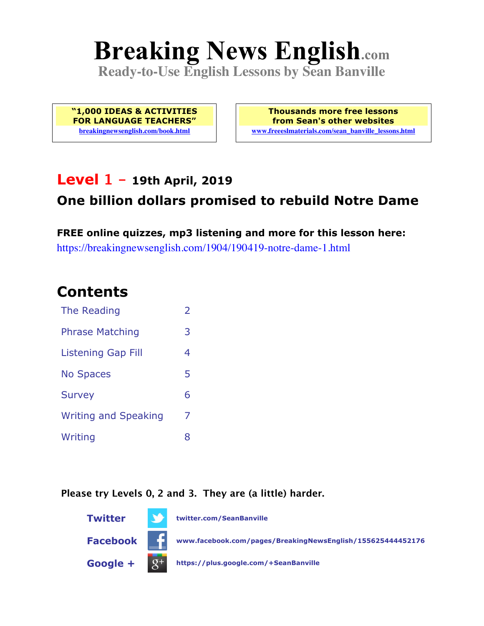# **Breaking News English.com**

**Ready-to-Use English Lessons by Sean Banville**

**"1,000 IDEAS & ACTIVITIES FOR LANGUAGE TEACHERS" breakingnewsenglish.com/book.html**

**Thousands more free lessons from Sean's other websites www.freeeslmaterials.com/sean\_banville\_lessons.html**

#### **Level 1 - 19th April, 2019**

#### **One billion dollars promised to rebuild Notre Dame**

**FREE online quizzes, mp3 listening and more for this lesson here:** https://breakingnewsenglish.com/1904/190419-notre-dame-1.html

#### **Contents**

| The Reading                 | $\overline{\phantom{a}}$ |
|-----------------------------|--------------------------|
| <b>Phrase Matching</b>      | 3                        |
| <b>Listening Gap Fill</b>   | 4                        |
| <b>No Spaces</b>            | 5                        |
| <b>Survey</b>               | 6                        |
| <b>Writing and Speaking</b> | 7                        |
| Writing                     | 8                        |

**Please try Levels 0, 2 and 3. They are (a little) harder.**

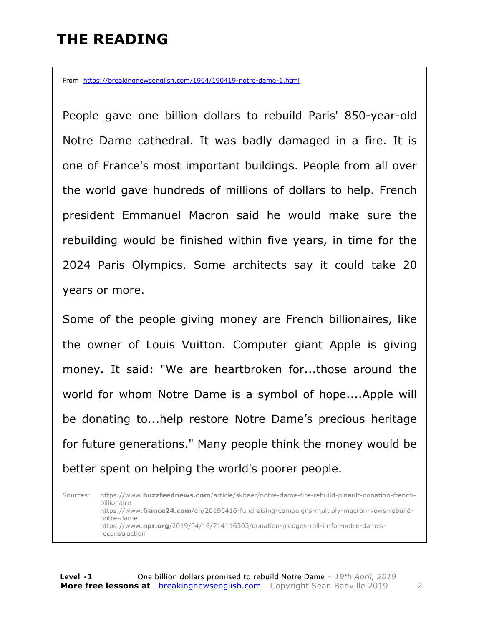### **THE READING**

From https://breakingnewsenglish.com/1904/190419-notre-dame-1.html

People gave one billion dollars to rebuild Paris' 850-year-old Notre Dame cathedral. It was badly damaged in a fire. It is one of France's most important buildings. People from all over the world gave hundreds of millions of dollars to help. French president Emmanuel Macron said he would make sure the rebuilding would be finished within five years, in time for the 2024 Paris Olympics. Some architects say it could take 20 years or more.

Some of the people giving money are French billionaires, like the owner of Louis Vuitton. Computer giant Apple is giving money. It said: "We are heartbroken for...those around the world for whom Notre Dame is a symbol of hope....Apple will be donating to...help restore Notre Dame's precious heritage for future generations." Many people think the money would be better spent on helping the world's poorer people.

Sources: https://www.**buzzfeednews.com**/article/skbaer/notre-dame-fire-rebuild-pinault-donation-frenchbillionaire https://www.**france24.com**/en/20190416-fundraising-campaigns-multiply-macron-vows-rebuildnotre-dame https://www.**npr.org**/2019/04/16/714116303/donation-pledges-roll-in-for-notre-damesreconstruction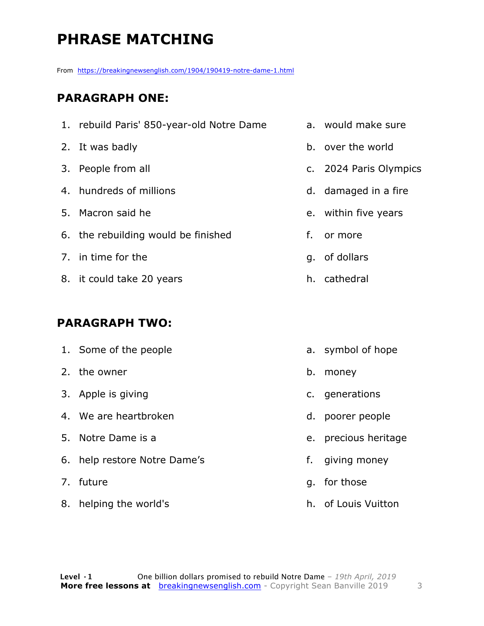# **PHRASE MATCHING**

From https://breakingnewsenglish.com/1904/190419-notre-dame-1.html

#### **PARAGRAPH ONE:**

|                       | 2. It was badly                     |    | b. over the world                      |
|-----------------------|-------------------------------------|----|----------------------------------------|
|                       | 3. People from all                  |    | c. 2024 Paris Olympics                 |
|                       | 4. hundreds of millions             |    | d. damaged in a fire                   |
|                       | 5. Macron said he                   |    | e. within five years                   |
|                       | 6. the rebuilding would be finished | f. | or more                                |
|                       | 7. in time for the                  |    | g. of dollars                          |
|                       | 8. it could take 20 years           |    | h. cathedral                           |
|                       |                                     |    |                                        |
| <b>PARAGRAPH TWO:</b> |                                     |    |                                        |
|                       |                                     |    | $\mathbf{1}$ $\mathbf{1}$ $\mathbf{2}$ |

1. rebuild Paris' 850-year-old Notre Dame a. would make sure

1. Some of the people 2. the owner 3. Apple is giving 4. We are heartbroken 5. Notre Dame is a 6. help restore Notre Dame's 7. future 8. helping the world's a. symbol of hope b. money c. generations d. poorer people e. precious heritage f. giving money g. for those h. of Louis Vuitton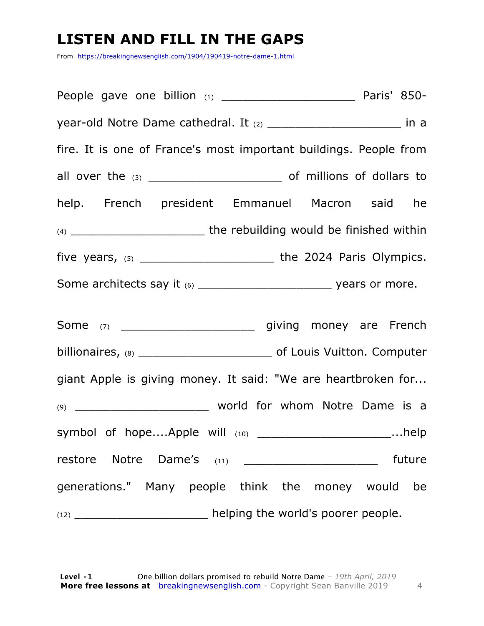### **LISTEN AND FILL IN THE GAPS**

From https://breakingnewsenglish.com/1904/190419-notre-dame-1.html

People gave one billion (1) The Company Paris' 850year-old Notre Dame cathedral. It (2) \_\_\_\_\_\_\_\_\_\_\_\_\_\_\_\_\_\_\_\_\_\_\_\_\_\_ in a fire. It is one of France's most important buildings. People from all over the (3) \_\_\_\_\_\_\_\_\_\_\_\_\_\_\_\_\_\_\_ of millions of dollars to help. French president Emmanuel Macron said he (4) \_\_\_\_\_\_\_\_\_\_\_\_\_\_\_\_\_\_\_ the rebuilding would be finished within five years, (5) \_\_\_\_\_\_\_\_\_\_\_\_\_\_\_\_\_\_\_ the 2024 Paris Olympics. Some architects say it (6) example 2 and the vears or more. Some (7) \_\_\_\_\_\_\_\_\_\_\_\_\_\_\_\_\_\_\_ giving money are French billionaires, (8) **billionaires**, (8) giant Apple is giving money. It said: "We are heartbroken for... (9) **world for whom Notre Dame is a** symbol of hope....Apple will (10) \_\_\_\_\_\_\_\_\_\_\_\_\_\_\_\_\_\_\_\_\_\_\_\_...help restore Notre Dame's (11) \_\_\_\_\_\_\_\_\_\_\_\_\_\_\_\_\_\_\_\_\_ future generations." Many people think the money would be  $(12)$   $\qquad \qquad$  helping the world's poorer people.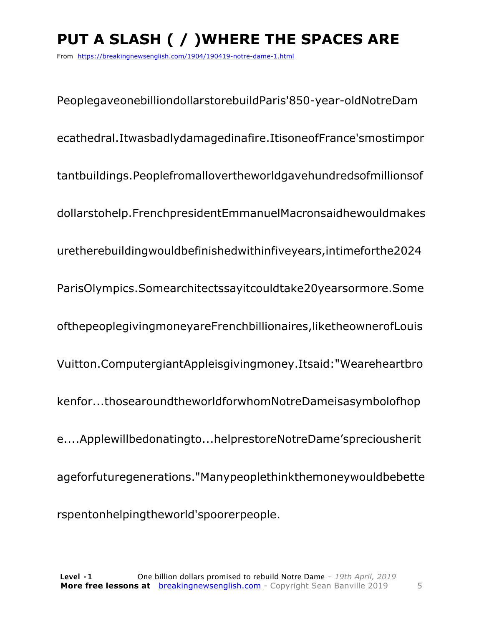# **PUT A SLASH ( / )WHERE THE SPACES ARE**

From https://breakingnewsenglish.com/1904/190419-notre-dame-1.html

PeoplegaveonebilliondollarstorebuildParis'850-year-oldNotreDam ecathedral.Itwasbadlydamagedinafire.ItisoneofFrance'smostimpor tantbuildings.Peoplefromallovertheworldgavehundredsofmillionsof dollarstohelp.FrenchpresidentEmmanuelMacronsaidhewouldmakes uretherebuildingwouldbefinishedwithinfiveyears,intimeforthe2024 ParisOlympics.Somearchitectssayitcouldtake20yearsormore.Some ofthepeoplegivingmoneyareFrenchbillionaires,liketheownerofLouis Vuitton.ComputergiantAppleisgivingmoney.Itsaid:"Weareheartbro kenfor...thosearoundtheworldforwhomNotreDameisasymbolofhop e....Applewillbedonatingto...helprestoreNotreDame'spreciousherit ageforfuturegenerations."Manypeoplethinkthemoneywouldbebette rspentonhelpingtheworld'spoorerpeople.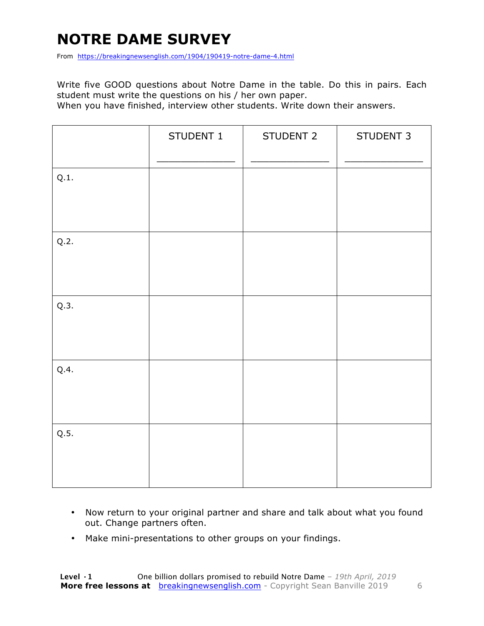## **NOTRE DAME SURVEY**

From https://breakingnewsenglish.com/1904/190419-notre-dame-4.html

Write five GOOD questions about Notre Dame in the table. Do this in pairs. Each student must write the questions on his / her own paper.

When you have finished, interview other students. Write down their answers.

|      | STUDENT 1 | STUDENT 2 | STUDENT 3 |
|------|-----------|-----------|-----------|
| Q.1. |           |           |           |
| Q.2. |           |           |           |
| Q.3. |           |           |           |
| Q.4. |           |           |           |
| Q.5. |           |           |           |

- Now return to your original partner and share and talk about what you found out. Change partners often.
- Make mini-presentations to other groups on your findings.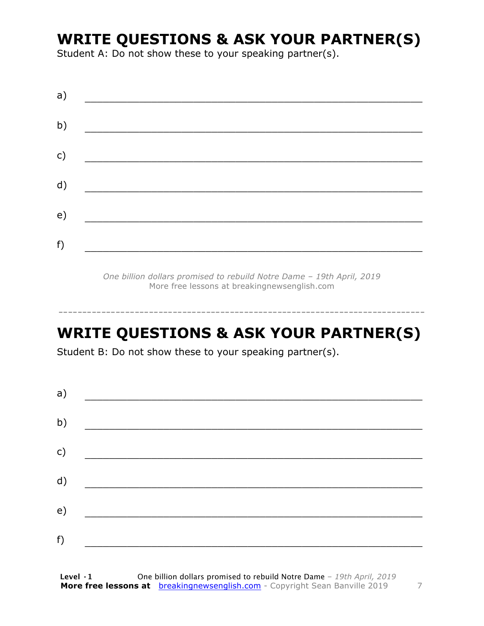#### **WRITE QUESTIONS & ASK YOUR PARTNER(S)**

Student A: Do not show these to your speaking partner(s).

| a) |  |  |
|----|--|--|
| b) |  |  |
| c) |  |  |
| d) |  |  |
| e) |  |  |
| f) |  |  |
|    |  |  |

*One billion dollars promised to rebuild Notre Dame – 19th April, 2019* More free lessons at breakingnewsenglish.com

## **WRITE QUESTIONS & ASK YOUR PARTNER(S)**

-----------------------------------------------------------------------------

Student B: Do not show these to your speaking partner(s).

| a) |  |  |
|----|--|--|
| b) |  |  |
| c) |  |  |
| d) |  |  |
| e) |  |  |
| f) |  |  |
|    |  |  |